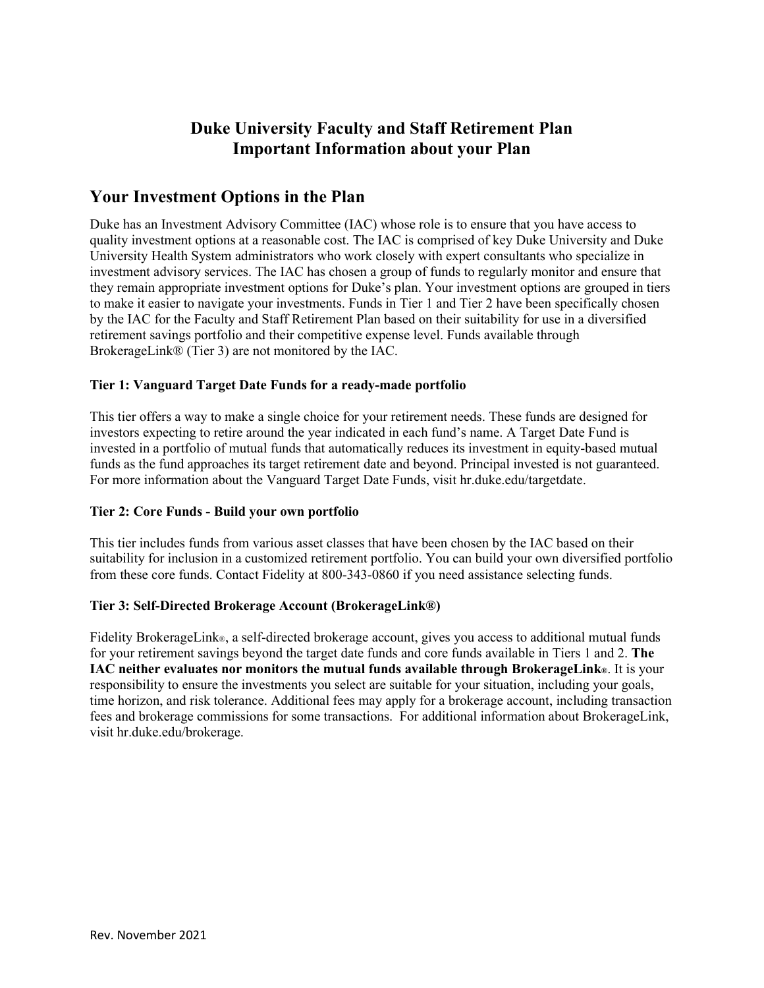# **Duke University Faculty and Staff Retirement Plan Important Information about your Plan**

## **Your Investment Options in the Plan**

Duke has an Investment Advisory Committee (IAC) whose role is to ensure that you have access to quality investment options at a reasonable cost. The IAC is comprised of key Duke University and Duke University Health System administrators who work closely with expert consultants who specialize in investment advisory services. The IAC has chosen a group of funds to regularly monitor and ensure that they remain appropriate investment options for Duke's plan. Your investment options are grouped in tiers to make it easier to navigate your investments. Funds in Tier 1 and Tier 2 have been specifically chosen by the IAC for the Faculty and Staff Retirement Plan based on their suitability for use in a diversified retirement savings portfolio and their competitive expense level. Funds available through BrokerageLink® (Tier 3) are not monitored by the IAC.

#### **Tier 1: Vanguard Target Date Funds for a ready-made portfolio**

This tier offers a way to make a single choice for your retirement needs. These funds are designed for investors expecting to retire around the year indicated in each fund's name. A Target Date Fund is invested in a portfolio of mutual funds that automatically reduces its investment in equity-based mutual funds as the fund approaches its target retirement date and beyond. Principal invested is not guaranteed. For more information about the Vanguard Target Date Funds, visit hr.duke.edu/targetdate.

#### **Tier 2: Core Funds - Build your own portfolio**

This tier includes funds from various asset classes that have been chosen by the IAC based on their suitability for inclusion in a customized retirement portfolio. You can build your own diversified portfolio from these core funds. Contact Fidelity at 800-343-0860 if you need assistance selecting funds.

#### **Tier 3: Self-Directed Brokerage Account (BrokerageLink®)**

Fidelity BrokerageLink®, a self-directed brokerage account, gives you access to additional mutual funds for your retirement savings beyond the target date funds and core funds available in Tiers 1 and 2. **The IAC neither evaluates nor monitors the mutual funds available through BrokerageLink®**. It is your responsibility to ensure the investments you select are suitable for your situation, including your goals, time horizon, and risk tolerance. Additional fees may apply for a brokerage account, including transaction fees and brokerage commissions for some transactions. For additional information about BrokerageLink, visit hr.duke.edu/brokerage.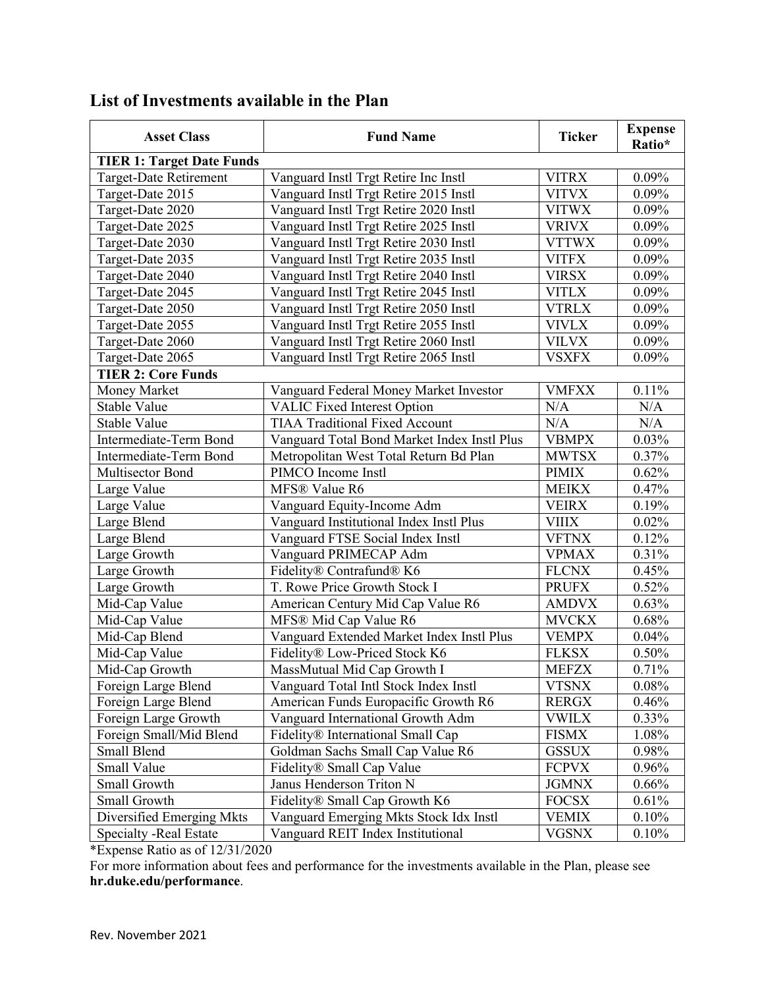| <b>Asset Class</b>               | <b>Fund Name</b>                            | <b>Ticker</b> | <b>Expense</b><br>Ratio* |  |
|----------------------------------|---------------------------------------------|---------------|--------------------------|--|
| <b>TIER 1: Target Date Funds</b> |                                             |               |                          |  |
| Target-Date Retirement           | Vanguard Instl Trgt Retire Inc Instl        | <b>VITRX</b>  | 0.09%                    |  |
| Target-Date 2015                 | Vanguard Instl Trgt Retire 2015 Instl       | <b>VITVX</b>  | $0.09\%$                 |  |
| Target-Date 2020                 | Vanguard Instl Trgt Retire 2020 Instl       | <b>VITWX</b>  | 0.09%                    |  |
| Target-Date 2025                 | Vanguard Instl Trgt Retire 2025 Instl       | <b>VRIVX</b>  | 0.09%                    |  |
| Target-Date 2030                 | Vanguard Instl Trgt Retire 2030 Instl       | <b>VTTWX</b>  | 0.09%                    |  |
| Target-Date 2035                 | Vanguard Instl Trgt Retire 2035 Instl       | <b>VITFX</b>  | 0.09%                    |  |
| Target-Date 2040                 | Vanguard Instl Trgt Retire 2040 Instl       | <b>VIRSX</b>  | 0.09%                    |  |
| Target-Date 2045                 | Vanguard Instl Trgt Retire 2045 Instl       | <b>VITLX</b>  | 0.09%                    |  |
| Target-Date 2050                 | Vanguard Instl Trgt Retire 2050 Instl       | <b>VTRLX</b>  | 0.09%                    |  |
| Target-Date 2055                 | Vanguard Instl Trgt Retire 2055 Instl       | <b>VIVLX</b>  | 0.09%                    |  |
| Target-Date 2060                 | Vanguard Instl Trgt Retire 2060 Instl       | <b>VILVX</b>  | 0.09%                    |  |
| Target-Date 2065                 | Vanguard Instl Trgt Retire 2065 Instl       | <b>VSXFX</b>  | 0.09%                    |  |
| <b>TIER 2: Core Funds</b>        |                                             |               |                          |  |
| Money Market                     | Vanguard Federal Money Market Investor      | <b>VMFXX</b>  | 0.11%                    |  |
| <b>Stable Value</b>              | <b>VALIC Fixed Interest Option</b>          | N/A           | N/A                      |  |
| Stable Value                     | <b>TIAA Traditional Fixed Account</b>       | N/A           | N/A                      |  |
| Intermediate-Term Bond           | Vanguard Total Bond Market Index Instl Plus | <b>VBMPX</b>  | 0.03%                    |  |
| Intermediate-Term Bond           | Metropolitan West Total Return Bd Plan      | <b>MWTSX</b>  | 0.37%                    |  |
| Multisector Bond                 | PIMCO Income Instl                          | <b>PIMIX</b>  | 0.62%                    |  |
| Large Value                      | MFS® Value R6                               | <b>MEIKX</b>  | 0.47%                    |  |
| Large Value                      | Vanguard Equity-Income Adm                  | <b>VEIRX</b>  | 0.19%                    |  |
| Large Blend                      | Vanguard Institutional Index Instl Plus     | <b>VIIIX</b>  | 0.02%                    |  |
| Large Blend                      | Vanguard FTSE Social Index Instl            | <b>VFTNX</b>  | 0.12%                    |  |
| Large Growth                     | Vanguard PRIMECAP Adm                       | <b>VPMAX</b>  | 0.31%                    |  |
| Large Growth                     | Fidelity® Contrafund® K6                    | <b>FLCNX</b>  | 0.45%                    |  |
| Large Growth                     | T. Rowe Price Growth Stock I                | <b>PRUFX</b>  | 0.52%                    |  |
| Mid-Cap Value                    | American Century Mid Cap Value R6           | <b>AMDVX</b>  | 0.63%                    |  |
| Mid-Cap Value                    | MFS® Mid Cap Value R6                       | <b>MVCKX</b>  | 0.68%                    |  |
| Mid-Cap Blend                    | Vanguard Extended Market Index Instl Plus   | <b>VEMPX</b>  | 0.04%                    |  |
| Mid-Cap Value                    | Fidelity® Low-Priced Stock K6               | <b>FLKSX</b>  | 0.50%                    |  |
| Mid-Cap Growth                   | MassMutual Mid Cap Growth I                 | <b>MEFZX</b>  | 0.71%                    |  |
| Foreign Large Blend              | Vanguard Total Intl Stock Index Instl       | <b>VTSNX</b>  | 0.08%                    |  |
| Foreign Large Blend              | American Funds Europacific Growth R6        | <b>RERGX</b>  | 0.46%                    |  |
| Foreign Large Growth             | Vanguard International Growth Adm           | <b>VWILX</b>  | 0.33%                    |  |
| Foreign Small/Mid Blend          | Fidelity® International Small Cap           | <b>FISMX</b>  | 1.08%                    |  |
| Small Blend                      | Goldman Sachs Small Cap Value R6            | <b>GSSUX</b>  | 0.98%                    |  |
| Small Value                      | Fidelity® Small Cap Value                   | <b>FCPVX</b>  | 0.96%                    |  |
| Small Growth                     | Janus Henderson Triton N                    | <b>JGMNX</b>  | 0.66%                    |  |
| Small Growth                     | Fidelity® Small Cap Growth K6               | <b>FOCSX</b>  | 0.61%                    |  |
| Diversified Emerging Mkts        | Vanguard Emerging Mkts Stock Idx Instl      | <b>VEMIX</b>  | 0.10%                    |  |
| Specialty - Real Estate          | Vanguard REIT Index Institutional           | <b>VGSNX</b>  | 0.10%                    |  |

# **List of Investments available in the Plan**

\*Expense Ratio as of 12/31/2020

For more information about fees and performance for the investments available in the Plan, please see **hr.duke.edu/performance**.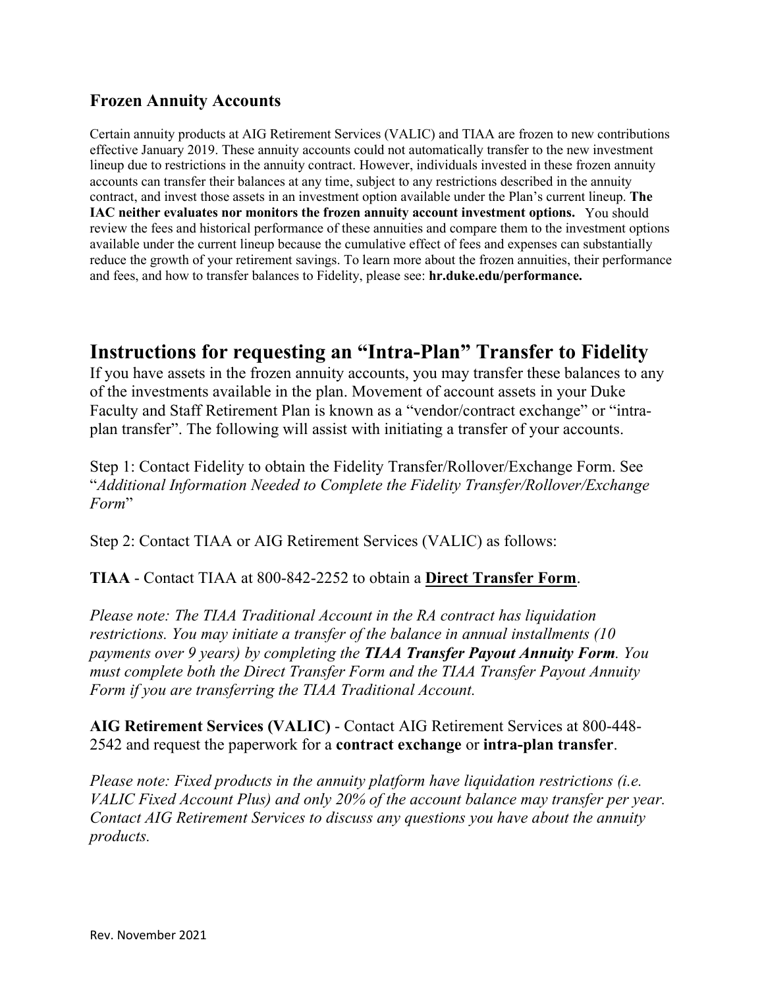## **Frozen Annuity Accounts**

Certain annuity products at AIG Retirement Services (VALIC) and TIAA are frozen to new contributions effective January 2019. These annuity accounts could not automatically transfer to the new investment lineup due to restrictions in the annuity contract. However, individuals invested in these frozen annuity accounts can transfer their balances at any time, subject to any restrictions described in the annuity contract, and invest those assets in an investment option available under the Plan's current lineup. **The IAC neither evaluates nor monitors the frozen annuity account investment options.** You should review the fees and historical performance of these annuities and compare them to the investment options available under the current lineup because the cumulative effect of fees and expenses can substantially reduce the growth of your retirement savings. To learn more about the frozen annuities, their performance and fees, and how to transfer balances to Fidelity, please see: **hr.duke.edu/performance.**

# **Instructions for requesting an "Intra-Plan" Transfer to Fidelity**

If you have assets in the frozen annuity accounts, you may transfer these balances to any of the investments available in the plan. Movement of account assets in your Duke Faculty and Staff Retirement Plan is known as a "vendor/contract exchange" or "intraplan transfer". The following will assist with initiating a transfer of your accounts.

Step 1: Contact Fidelity to obtain the Fidelity Transfer/Rollover/Exchange Form. See "*Additional Information Needed to Complete the Fidelity Transfer/Rollover/Exchange Form*"

Step 2: Contact TIAA or AIG Retirement Services (VALIC) as follows:

#### **TIAA** - Contact TIAA at 800-842-2252 to obtain a **Direct Transfer Form**.

*Please note: The TIAA Traditional Account in the RA contract has liquidation restrictions. You may initiate a transfer of the balance in annual installments (10 payments over 9 years) by completing the TIAA Transfer Payout Annuity Form. You must complete both the Direct Transfer Form and the TIAA Transfer Payout Annuity Form if you are transferring the TIAA Traditional Account.* 

**AIG Retirement Services (VALIC)** - Contact AIG Retirement Services at 800-448- 2542 and request the paperwork for a **contract exchange** or **intra-plan transfer**.

*Please note: Fixed products in the annuity platform have liquidation restrictions (i.e. VALIC Fixed Account Plus) and only 20% of the account balance may transfer per year. Contact AIG Retirement Services to discuss any questions you have about the annuity products.*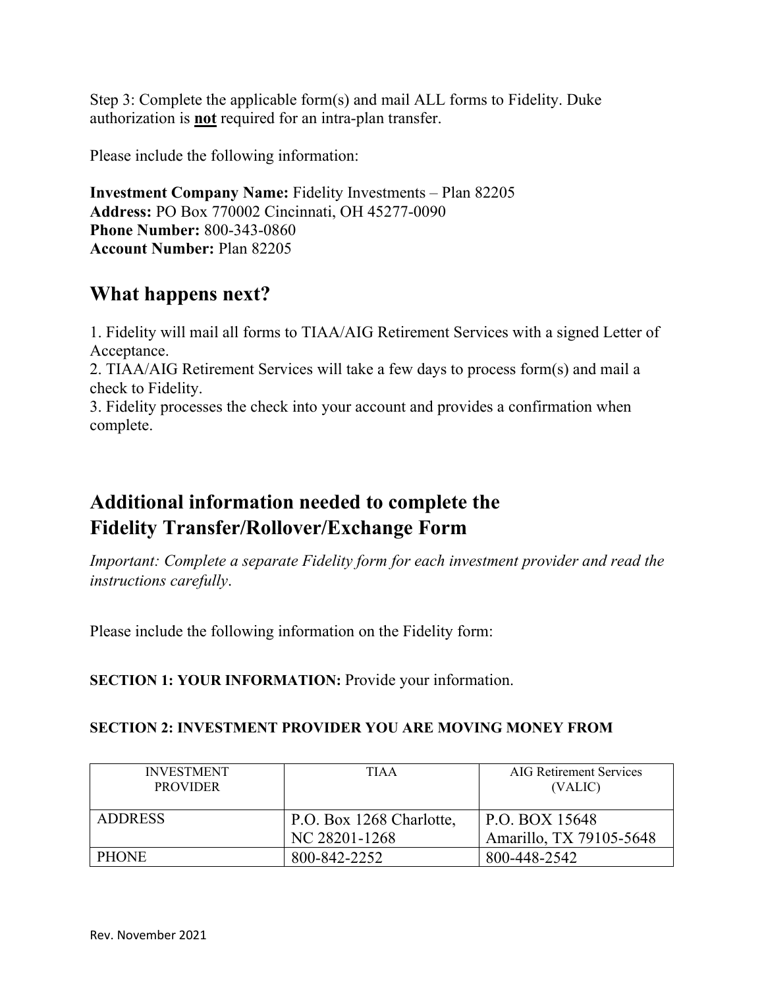Step 3: Complete the applicable form(s) and mail ALL forms to Fidelity. Duke authorization is **not** required for an intra-plan transfer.

Please include the following information:

**Investment Company Name:** Fidelity Investments – Plan 82205 **Address:** PO Box 770002 Cincinnati, OH 45277-0090 **Phone Number:** 800-343-0860 **Account Number:** Plan 82205

# **What happens next?**

1. Fidelity will mail all forms to TIAA/AIG Retirement Services with a signed Letter of Acceptance. 2. TIAA/AIG Retirement Services will take a few days to process form(s) and mail a check to Fidelity.

3. Fidelity processes the check into your account and provides a confirmation when complete.

# **Additional information needed to complete the Fidelity Transfer/Rollover/Exchange Form**

*Important: Complete a separate Fidelity form for each investment provider and read the instructions carefully*.

Please include the following information on the Fidelity form:

**SECTION 1: YOUR INFORMATION:** Provide your information.

#### **SECTION 2: INVESTMENT PROVIDER YOU ARE MOVING MONEY FROM**

| <b>INVESTMENT</b><br><b>PROVIDER</b> | <b>TIAA</b>                               | AIG Retirement Services<br>(VALIC)        |
|--------------------------------------|-------------------------------------------|-------------------------------------------|
| <b>ADDRESS</b>                       | P.O. Box 1268 Charlotte,<br>NC 28201-1268 | P.O. BOX 15648<br>Amarillo, TX 79105-5648 |
| <b>PHONE</b>                         | 800-842-2252                              | 800-448-2542                              |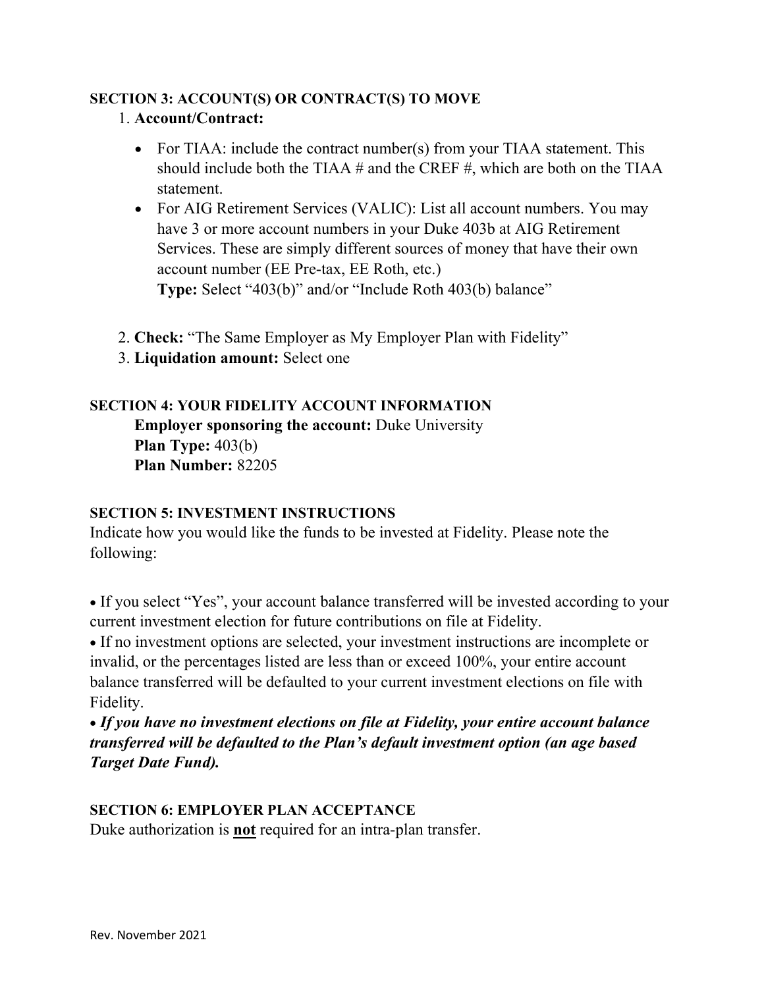# **SECTION 3: ACCOUNT(S) OR CONTRACT(S) TO MOVE**

### 1. **Account/Contract:**

- For TIAA: include the contract number(s) from your TIAA statement. This should include both the TIAA  $#$  and the CREF  $#$ , which are both on the TIAA statement.
- For AIG Retirement Services (VALIC): List all account numbers. You may have 3 or more account numbers in your Duke 403b at AIG Retirement Services. These are simply different sources of money that have their own account number (EE Pre-tax, EE Roth, etc.) **Type:** Select "403(b)" and/or "Include Roth 403(b) balance"
- 2. **Check:** "The Same Employer as My Employer Plan with Fidelity"
- 3. **Liquidation amount:** Select one

# **SECTION 4: YOUR FIDELITY ACCOUNT INFORMATION**

 **Employer sponsoring the account:** Duke University  **Plan Type:** 403(b)  **Plan Number:** 82205

# **SECTION 5: INVESTMENT INSTRUCTIONS**

Indicate how you would like the funds to be invested at Fidelity. Please note the following:

• If you select "Yes", your account balance transferred will be invested according to your current investment election for future contributions on file at Fidelity.

• If no investment options are selected, your investment instructions are incomplete or invalid, or the percentages listed are less than or exceed 100%, your entire account balance transferred will be defaulted to your current investment elections on file with Fidelity.

• *If you have no investment elections on file at Fidelity, your entire account balance transferred will be defaulted to the Plan's default investment option (an age based Target Date Fund).*

# **SECTION 6: EMPLOYER PLAN ACCEPTANCE**

Duke authorization is **not** required for an intra-plan transfer.